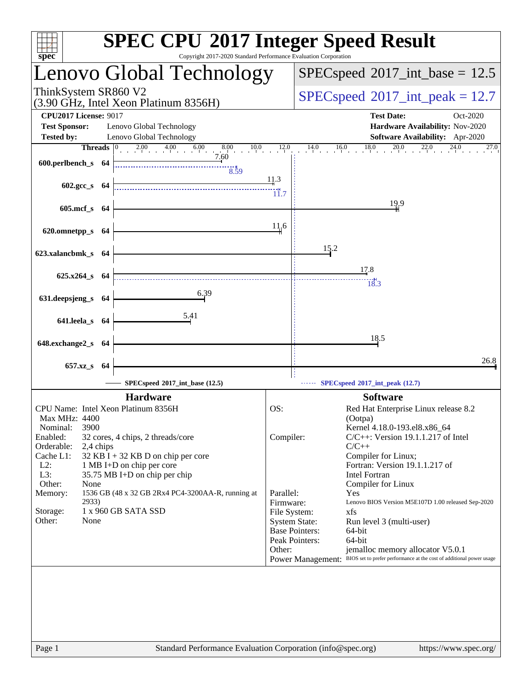| Copyright 2017-2020 Standard Performance Evaluation Corporation<br>spec <sup>®</sup>                                                                                                                                                                                                                                                                                                                                                                             | <b>SPEC CPU®2017 Integer Speed Result</b>                                                                                                                                                                                                                                                                                                                                                                                                                                                                                                                                                                                                           |
|------------------------------------------------------------------------------------------------------------------------------------------------------------------------------------------------------------------------------------------------------------------------------------------------------------------------------------------------------------------------------------------------------------------------------------------------------------------|-----------------------------------------------------------------------------------------------------------------------------------------------------------------------------------------------------------------------------------------------------------------------------------------------------------------------------------------------------------------------------------------------------------------------------------------------------------------------------------------------------------------------------------------------------------------------------------------------------------------------------------------------------|
| Lenovo Global Technology                                                                                                                                                                                                                                                                                                                                                                                                                                         | $SPEC speed^{\circ}2017\_int\_base = 12.5$                                                                                                                                                                                                                                                                                                                                                                                                                                                                                                                                                                                                          |
| ThinkSystem SR860 V2<br>(3.90 GHz, Intel Xeon Platinum 8356H)                                                                                                                                                                                                                                                                                                                                                                                                    | $SPEC speed^{\circ}2017\_int\_peak = 12.7$                                                                                                                                                                                                                                                                                                                                                                                                                                                                                                                                                                                                          |
| <b>CPU2017 License: 9017</b><br><b>Test Sponsor:</b><br>Lenovo Global Technology<br>Lenovo Global Technology<br><b>Tested by:</b><br>2.00 4.00 6.00 8.00 $10.0$ 12.0<br><b>Threads</b> $\vert 0 \rangle$<br>7.60<br>600.perlbench_s 64                                                                                                                                                                                                                           | <b>Test Date:</b><br>Oct-2020<br>Hardware Availability: Nov-2020<br>Software Availability: Apr-2020<br>$14.0$ $16.0$ $18.0$ $20.0$ $22.0$ $24.0$<br>27.0                                                                                                                                                                                                                                                                                                                                                                                                                                                                                            |
| $\frac{1}{8.59}$<br>602.gcc_s 64                                                                                                                                                                                                                                                                                                                                                                                                                                 | <u>11.3</u><br>11.7                                                                                                                                                                                                                                                                                                                                                                                                                                                                                                                                                                                                                                 |
| 605.mcf_s 64                                                                                                                                                                                                                                                                                                                                                                                                                                                     | 19.9                                                                                                                                                                                                                                                                                                                                                                                                                                                                                                                                                                                                                                                |
| 620.omnetpp_s 64                                                                                                                                                                                                                                                                                                                                                                                                                                                 | 11.6                                                                                                                                                                                                                                                                                                                                                                                                                                                                                                                                                                                                                                                |
| 623.xalancbmk_s 64                                                                                                                                                                                                                                                                                                                                                                                                                                               | 15.2<br>17.8                                                                                                                                                                                                                                                                                                                                                                                                                                                                                                                                                                                                                                        |
| $625.x264$ <sub>S</sub> $64$<br>6.39                                                                                                                                                                                                                                                                                                                                                                                                                             | $\frac{1}{18.3}$                                                                                                                                                                                                                                                                                                                                                                                                                                                                                                                                                                                                                                    |
| 631.deepsjeng_s 64<br>5.41<br>641.leela_s 64                                                                                                                                                                                                                                                                                                                                                                                                                     |                                                                                                                                                                                                                                                                                                                                                                                                                                                                                                                                                                                                                                                     |
| 648.exchange2_s 64                                                                                                                                                                                                                                                                                                                                                                                                                                               | 18.5                                                                                                                                                                                                                                                                                                                                                                                                                                                                                                                                                                                                                                                |
| 657.xz_s 64                                                                                                                                                                                                                                                                                                                                                                                                                                                      | 26.8                                                                                                                                                                                                                                                                                                                                                                                                                                                                                                                                                                                                                                                |
| SPECspeed®2017_int_base (12.5)                                                                                                                                                                                                                                                                                                                                                                                                                                   | SPECspeed®2017_int_peak (12.7)                                                                                                                                                                                                                                                                                                                                                                                                                                                                                                                                                                                                                      |
| <b>Hardware</b><br>CPU Name: Intel Xeon Platinum 8356H<br><b>Max MHz: 4400</b><br>3900<br>Nominal:<br>Enabled:<br>32 cores, 4 chips, 2 threads/core<br>Orderable:<br>2,4 chips<br>Cache L1:<br>32 KB I + 32 KB D on chip per core<br>$L2$ :<br>1 MB I+D on chip per core<br>L3:<br>35.75 MB I+D on chip per chip<br>Other:<br>None<br>Memory:<br>1536 GB (48 x 32 GB 2Rx4 PC4-3200AA-R, running at<br>2933)<br>1 x 960 GB SATA SSD<br>Storage:<br>Other:<br>None | <b>Software</b><br>OS:<br>Red Hat Enterprise Linux release 8.2<br>(Ootpa)<br>Kernel 4.18.0-193.el8.x86_64<br>Compiler:<br>$C/C++$ : Version 19.1.1.217 of Intel<br>$C/C++$<br>Compiler for Linux;<br>Fortran: Version 19.1.1.217 of<br>Intel Fortran<br>Compiler for Linux<br>Parallel:<br>Yes<br>Firmware:<br>Lenovo BIOS Version M5E107D 1.00 released Sep-2020<br>File System:<br>xfs<br><b>System State:</b><br>Run level 3 (multi-user)<br><b>Base Pointers:</b><br>64-bit<br>Peak Pointers:<br>64-bit<br>Other:<br>jemalloc memory allocator V5.0.1<br>Power Management: BIOS set to prefer performance at the cost of additional power usage |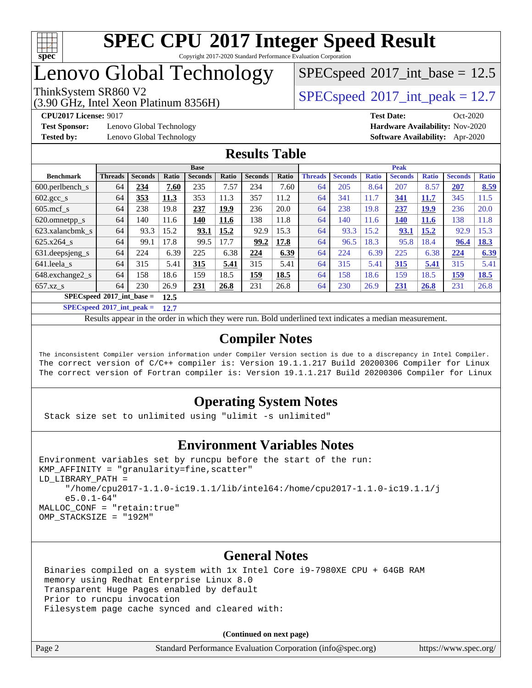

## Lenovo Global Technology

## (3.90 GHz, Intel Xeon Platinum 8356H)

 $SPECspeed^{\circledcirc}2017\_int\_base = 12.5$  $SPECspeed^{\circledcirc}2017\_int\_base = 12.5$ 

ThinkSystem SR860 V2  $\begin{array}{|l|l|}\n\hline\n\text{SPEC speed} \textdegree 2017\_int\_peak = 12.7\n\end{array}$ 

**[Test Sponsor:](http://www.spec.org/auto/cpu2017/Docs/result-fields.html#TestSponsor)** Lenovo Global Technology **[Hardware Availability:](http://www.spec.org/auto/cpu2017/Docs/result-fields.html#HardwareAvailability)** Nov-2020

**[CPU2017 License:](http://www.spec.org/auto/cpu2017/Docs/result-fields.html#CPU2017License)** 9017 **[Test Date:](http://www.spec.org/auto/cpu2017/Docs/result-fields.html#TestDate)** Oct-2020 **[Tested by:](http://www.spec.org/auto/cpu2017/Docs/result-fields.html#Testedby)** Lenovo Global Technology **[Software Availability:](http://www.spec.org/auto/cpu2017/Docs/result-fields.html#SoftwareAvailability)** Apr-2020

#### **[Results Table](http://www.spec.org/auto/cpu2017/Docs/result-fields.html#ResultsTable)**

|                                            | <b>Base</b>    |                |       |                |       | <b>Peak</b>    |              |                |                |              |                |              |                |              |
|--------------------------------------------|----------------|----------------|-------|----------------|-------|----------------|--------------|----------------|----------------|--------------|----------------|--------------|----------------|--------------|
| <b>Benchmark</b>                           | <b>Threads</b> | <b>Seconds</b> | Ratio | <b>Seconds</b> | Ratio | <b>Seconds</b> | <b>Ratio</b> | <b>Threads</b> | <b>Seconds</b> | <b>Ratio</b> | <b>Seconds</b> | <b>Ratio</b> | <b>Seconds</b> | <b>Ratio</b> |
| $600.$ perlbench s                         | 64             | 234            | 7.60  | 235            | 7.57  | 234            | 7.60         | 64             | 205            | 8.64         | 207            | 8.57         | <b>207</b>     | 8.59         |
| $602.\text{gcc}\_\text{s}$                 | 64             | 353            | 11.3  | 353            | 11.3  | 357            | 11.2         | 64             | 341            | 11.7         | 341            | 11.7         | 345            | 11.5         |
| $605$ .mcf s                               | 64             | 238            | 19.8  | 237            | 19.9  | 236            | 20.0         | 64             | 238            | 19.8         | 237            | <u>19.9</u>  | 236            | 20.0         |
| 620.omnetpp_s                              | 64             | 140            | 11.6  | 140            | 11.6  | 138            | 11.8         | 64             | 140            | 11.6         | 140            | <b>11.6</b>  | 138            | 11.8         |
| 623.xalancbmk s                            | 64             | 93.3           | 15.2  | 93.1           | 15.2  | 92.9           | 15.3         | 64             | 93.3           | 15.2         | 93.1           | 15.2         | 92.9           | 15.3         |
| 625.x264 s                                 | 64             | 99.1           | 17.8  | 99.5           | 17.7  | 99.2           | 17.8         | 64             | 96.5           | 18.3         | 95.8           | 18.4         | 96.4           | 18.3         |
| 631.deepsjeng_s                            | 64             | 224            | 6.39  | 225            | 6.38  | 224            | 6.39         | 64             | 224            | 6.39         | 225            | 6.38         | 224            | 6.39         |
| 641.leela s                                | 64             | 315            | 5.41  | 315            | 5.41  | 315            | 5.41         | 64             | 315            | 5.41         | 315            | 5.41         | 315            | 5.41         |
| 648.exchange2 s                            | 64             | 158            | 18.6  | 159            | 18.5  | <u>159</u>     | 18.5         | 64             | 158            | 18.6         | 159            | 18.5         | <u>159</u>     | 18.5         |
| $657.xz$ s                                 | 64             | 230            | 26.9  | 231            | 26.8  | 231            | 26.8         | 64             | 230            | 26.9         | 231            | 26.8         | 231            | 26.8         |
| $SPECspeed^{\circ}2017$ int base =<br>12.5 |                |                |       |                |       |                |              |                |                |              |                |              |                |              |

**[SPECspeed](http://www.spec.org/auto/cpu2017/Docs/result-fields.html#SPECspeed2017intpeak)[2017\\_int\\_peak =](http://www.spec.org/auto/cpu2017/Docs/result-fields.html#SPECspeed2017intpeak) 12.7**

Results appear in the [order in which they were run.](http://www.spec.org/auto/cpu2017/Docs/result-fields.html#RunOrder) Bold underlined text [indicates a median measurement](http://www.spec.org/auto/cpu2017/Docs/result-fields.html#Median).

#### **[Compiler Notes](http://www.spec.org/auto/cpu2017/Docs/result-fields.html#CompilerNotes)**

The inconsistent Compiler version information under Compiler Version section is due to a discrepancy in Intel Compiler. The correct version of C/C++ compiler is: Version 19.1.1.217 Build 20200306 Compiler for Linux The correct version of Fortran compiler is: Version 19.1.1.217 Build 20200306 Compiler for Linux

### **[Operating System Notes](http://www.spec.org/auto/cpu2017/Docs/result-fields.html#OperatingSystemNotes)**

Stack size set to unlimited using "ulimit -s unlimited"

#### **[Environment Variables Notes](http://www.spec.org/auto/cpu2017/Docs/result-fields.html#EnvironmentVariablesNotes)**

```
Environment variables set by runcpu before the start of the run:
KMP AFFINITY = "granularity=fine, scatter"
LD_LIBRARY_PATH =
      "/home/cpu2017-1.1.0-ic19.1.1/lib/intel64:/home/cpu2017-1.1.0-ic19.1.1/j
      e5.0.1-64"
MALLOC_CONF = "retain:true"
OMP_STACKSIZE = "192M"
```
#### **[General Notes](http://www.spec.org/auto/cpu2017/Docs/result-fields.html#GeneralNotes)**

 Binaries compiled on a system with 1x Intel Core i9-7980XE CPU + 64GB RAM memory using Redhat Enterprise Linux 8.0 Transparent Huge Pages enabled by default Prior to runcpu invocation Filesystem page cache synced and cleared with:

**(Continued on next page)**

| Page 2 | Standard Performance Evaluation Corporation (info@spec.org) |  | https://www.spec.org/ |
|--------|-------------------------------------------------------------|--|-----------------------|
|--------|-------------------------------------------------------------|--|-----------------------|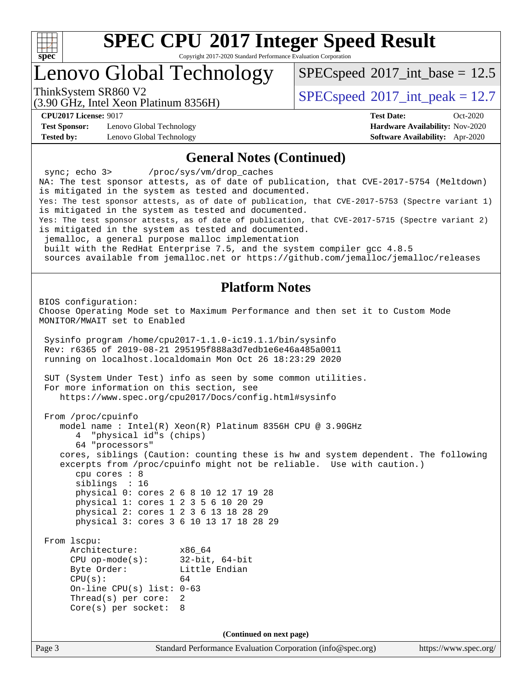

Copyright 2017-2020 Standard Performance Evaluation Corporation

## Lenovo Global Technology

 $SPECspeed^{\circ}2017\_int\_base = 12.5$  $SPECspeed^{\circ}2017\_int\_base = 12.5$ 

(3.90 GHz, Intel Xeon Platinum 8356H)

ThinkSystem SR860 V2  $\begin{array}{|l|l|}\n\hline\n\text{SPEC speed} \textdegree 2017\_int\_peak = 12.7\n\end{array}$ 

**[Test Sponsor:](http://www.spec.org/auto/cpu2017/Docs/result-fields.html#TestSponsor)** Lenovo Global Technology **[Hardware Availability:](http://www.spec.org/auto/cpu2017/Docs/result-fields.html#HardwareAvailability)** Nov-2020 **[Tested by:](http://www.spec.org/auto/cpu2017/Docs/result-fields.html#Testedby)** Lenovo Global Technology **[Software Availability:](http://www.spec.org/auto/cpu2017/Docs/result-fields.html#SoftwareAvailability)** Apr-2020

**[CPU2017 License:](http://www.spec.org/auto/cpu2017/Docs/result-fields.html#CPU2017License)** 9017 **[Test Date:](http://www.spec.org/auto/cpu2017/Docs/result-fields.html#TestDate)** Oct-2020

#### **[General Notes \(Continued\)](http://www.spec.org/auto/cpu2017/Docs/result-fields.html#GeneralNotes)**

Page 3 Standard Performance Evaluation Corporation [\(info@spec.org\)](mailto:info@spec.org) <https://www.spec.org/> sync; echo 3> /proc/sys/vm/drop\_caches NA: The test sponsor attests, as of date of publication, that CVE-2017-5754 (Meltdown) is mitigated in the system as tested and documented. Yes: The test sponsor attests, as of date of publication, that CVE-2017-5753 (Spectre variant 1) is mitigated in the system as tested and documented. Yes: The test sponsor attests, as of date of publication, that CVE-2017-5715 (Spectre variant 2) is mitigated in the system as tested and documented. jemalloc, a general purpose malloc implementation built with the RedHat Enterprise 7.5, and the system compiler gcc 4.8.5 sources available from jemalloc.net or<https://github.com/jemalloc/jemalloc/releases> **[Platform Notes](http://www.spec.org/auto/cpu2017/Docs/result-fields.html#PlatformNotes)** BIOS configuration: Choose Operating Mode set to Maximum Performance and then set it to Custom Mode MONITOR/MWAIT set to Enabled Sysinfo program /home/cpu2017-1.1.0-ic19.1.1/bin/sysinfo Rev: r6365 of 2019-08-21 295195f888a3d7edb1e6e46a485a0011 running on localhost.localdomain Mon Oct 26 18:23:29 2020 SUT (System Under Test) info as seen by some common utilities. For more information on this section, see <https://www.spec.org/cpu2017/Docs/config.html#sysinfo> From /proc/cpuinfo model name : Intel(R) Xeon(R) Platinum 8356H CPU @ 3.90GHz 4 "physical id"s (chips) 64 "processors" cores, siblings (Caution: counting these is hw and system dependent. The following excerpts from /proc/cpuinfo might not be reliable. Use with caution.) cpu cores : 8 siblings : 16 physical 0: cores 2 6 8 10 12 17 19 28 physical 1: cores 1 2 3 5 6 10 20 29 physical 2: cores 1 2 3 6 13 18 28 29 physical 3: cores 3 6 10 13 17 18 28 29 From lscpu: Architecture: x86\_64 CPU op-mode(s): 32-bit, 64-bit Byte Order: Little Endian  $CPU(s):$  64 On-line CPU(s) list: 0-63 Thread(s) per core: 2 Core(s) per socket: 8 **(Continued on next page)**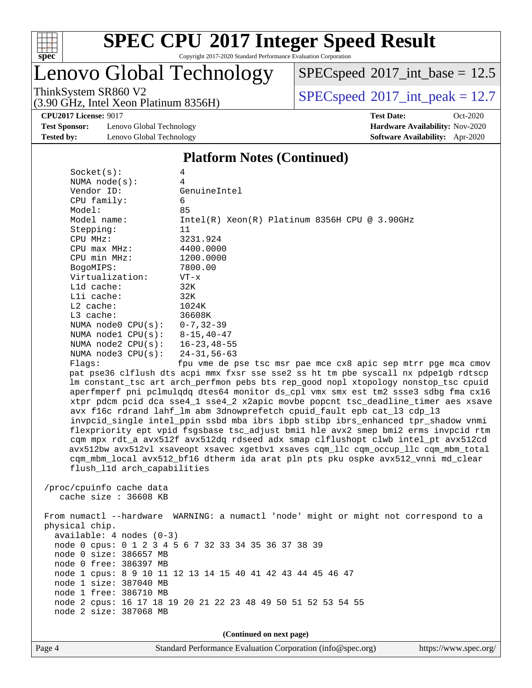

Copyright 2017-2020 Standard Performance Evaluation Corporation

## Lenovo Global Technology

 $SPECspeed^{\circledcirc}2017\_int\_base = 12.5$  $SPECspeed^{\circledcirc}2017\_int\_base = 12.5$ 

ThinkSystem SR860 V2<br>  $\begin{array}{|l|l|}\n\hline\n\text{ShinkSystem} & \text{Stiff} \\
\hline\n\text{SPECspeed} \textcircled{2017\_int\_peak} = 12.7\n\end{array}$  $\begin{array}{|l|l|}\n\hline\n\text{ShinkSystem} & \text{Stiff} \\
\hline\n\text{SPECspeed} \textcircled{2017\_int\_peak} = 12.7\n\end{array}$  $\begin{array}{|l|l|}\n\hline\n\text{ShinkSystem} & \text{Stiff} \\
\hline\n\text{SPECspeed} \textcircled{2017\_int\_peak} = 12.7\n\end{array}$ 

**[CPU2017 License:](http://www.spec.org/auto/cpu2017/Docs/result-fields.html#CPU2017License)** 9017 **[Test Date:](http://www.spec.org/auto/cpu2017/Docs/result-fields.html#TestDate)** Oct-2020

**[Test Sponsor:](http://www.spec.org/auto/cpu2017/Docs/result-fields.html#TestSponsor)** Lenovo Global Technology **[Hardware Availability:](http://www.spec.org/auto/cpu2017/Docs/result-fields.html#HardwareAvailability)** Nov-2020 **[Tested by:](http://www.spec.org/auto/cpu2017/Docs/result-fields.html#Testedby)** Lenovo Global Technology **[Software Availability:](http://www.spec.org/auto/cpu2017/Docs/result-fields.html#SoftwareAvailability)** Apr-2020

(3.90 GHz, Intel Xeon Platinum 8356H)

#### **[Platform Notes \(Continued\)](http://www.spec.org/auto/cpu2017/Docs/result-fields.html#PlatformNotes)**

| Socket(s):                       | 4                                                                                    |
|----------------------------------|--------------------------------------------------------------------------------------|
| NUMA node(s):                    | $\overline{4}$                                                                       |
| Vendor ID:                       | GenuineIntel                                                                         |
| CPU family:                      | 6                                                                                    |
| Model:                           | 85                                                                                   |
| Model name:                      | $Intel(R)$ Xeon(R) Platinum 8356H CPU @ 3.90GHz                                      |
| Stepping:                        | 11                                                                                   |
| CPU MHz:                         | 3231.924                                                                             |
| $CPU$ max $MHz$ :                | 4400.0000                                                                            |
| CPU min MHz:                     | 1200.0000                                                                            |
| BogoMIPS:                        | 7800.00                                                                              |
| Virtualization:                  | $VT - x$                                                                             |
| L1d cache:                       | 32K                                                                                  |
| Lli cache:                       | 32K                                                                                  |
| $L2$ cache:                      | 1024K                                                                                |
| $L3$ cache:                      | 36608K                                                                               |
| NUMA node0 $CPU(s): 0-7, 32-39$  |                                                                                      |
| NUMA nodel $CPU(s): 8-15, 40-47$ |                                                                                      |
| NUMA node2 CPU(s): 16-23, 48-55  |                                                                                      |
| NUMA $node3$ $CPU(s):$           | 24-31,56-63                                                                          |
| Flags:                           | fpu vme de pse tsc msr pae mce cx8 apic sep mtrr pge mca cmov                        |
|                                  | pat pse36 clflush dts acpi mmx fxsr sse sse2 ss ht tm pbe syscall nx pdpe1gb rdtscp  |
|                                  | lm constant_tsc art arch_perfmon pebs bts rep_good nopl xtopology nonstop_tsc cpuid  |
|                                  | aperfmperf pni pclmulqdq dtes64 monitor ds_cpl vmx smx est tm2 ssse3 sdbg fma cx16   |
|                                  | xtpr pdcm pcid dca sse4_1 sse4_2 x2apic movbe popcnt tsc_deadline_timer aes xsave    |
|                                  | avx f16c rdrand lahf_lm abm 3dnowprefetch cpuid_fault epb cat_13 cdp_13              |
|                                  | invpcid_single intel_ppin ssbd mba ibrs ibpb stibp ibrs_enhanced tpr_shadow vnmi     |
|                                  | flexpriority ept vpid fsgsbase tsc_adjust bmil hle avx2 smep bmi2 erms invpcid rtm   |
|                                  | cqm mpx rdt_a avx512f avx512dq rdseed adx smap clflushopt clwb intel_pt avx512cd     |
|                                  | avx512bw avx512vl xsaveopt xsavec xgetbvl xsaves cqm_llc cqm_occup_llc cqm_mbm_total |
|                                  | cqm_mbm_local avx512_bf16 dtherm ida arat pln pts pku ospke avx512_vnni md_clear     |
| flush_11d arch_capabilities      |                                                                                      |
|                                  |                                                                                      |
| /proc/cpuinfo cache data         |                                                                                      |
| cache size $: 36608$ KB          |                                                                                      |
|                                  |                                                                                      |

 From numactl --hardware WARNING: a numactl 'node' might or might not correspond to a physical chip. available: 4 nodes (0-3) node 0 cpus: 0 1 2 3 4 5 6 7 32 33 34 35 36 37 38 39 node 0 size: 386657 MB node 0 free: 386397 MB node 1 cpus: 8 9 10 11 12 13 14 15 40 41 42 43 44 45 46 47 node 1 size: 387040 MB node 1 free: 386710 MB node 2 cpus: 16 17 18 19 20 21 22 23 48 49 50 51 52 53 54 55 node 2 size: 387068 MB

**(Continued on next page)**

Page 4 Standard Performance Evaluation Corporation [\(info@spec.org\)](mailto:info@spec.org) <https://www.spec.org/>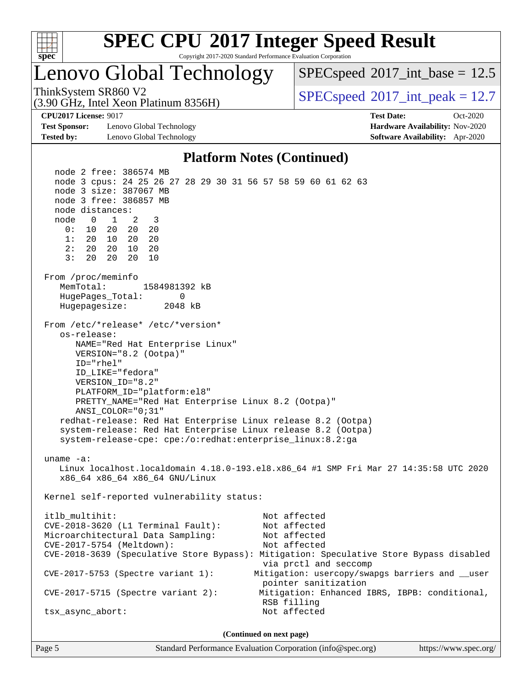

## Lenovo Global Technology

(3.90 GHz, Intel Xeon Platinum 8356H)

 $SPECspeed^{\circ}2017\_int\_base = 12.5$  $SPECspeed^{\circ}2017\_int\_base = 12.5$ 

ThinkSystem SR860 V2  $\begin{array}{|l|l|}\n\hline\n\text{SPEC speed} \textdegree 2017\_int\_peak = 12.7\n\end{array}$ 

**[Test Sponsor:](http://www.spec.org/auto/cpu2017/Docs/result-fields.html#TestSponsor)** Lenovo Global Technology **[Hardware Availability:](http://www.spec.org/auto/cpu2017/Docs/result-fields.html#HardwareAvailability)** Nov-2020 **[Tested by:](http://www.spec.org/auto/cpu2017/Docs/result-fields.html#Testedby)** Lenovo Global Technology **[Software Availability:](http://www.spec.org/auto/cpu2017/Docs/result-fields.html#SoftwareAvailability)** Apr-2020

**[CPU2017 License:](http://www.spec.org/auto/cpu2017/Docs/result-fields.html#CPU2017License)** 9017 **[Test Date:](http://www.spec.org/auto/cpu2017/Docs/result-fields.html#TestDate)** Oct-2020

#### **[Platform Notes \(Continued\)](http://www.spec.org/auto/cpu2017/Docs/result-fields.html#PlatformNotes)**

 node 2 free: 386574 MB node 3 cpus: 24 25 26 27 28 29 30 31 56 57 58 59 60 61 62 63 node 3 size: 387067 MB node 3 free: 386857 MB node distances: node 0 1 2 3 0: 10 20 20 20 1: 20 10 20 20 2: 20 20 10 20 3: 20 20 20 10 From /proc/meminfo MemTotal: 1584981392 kB HugePages\_Total: 0 Hugepagesize: 2048 kB From /etc/\*release\* /etc/\*version\* os-release: NAME="Red Hat Enterprise Linux" VERSION="8.2 (Ootpa)" ID="rhel" ID\_LIKE="fedora" VERSION\_ID="8.2" PLATFORM\_ID="platform:el8" PRETTY\_NAME="Red Hat Enterprise Linux 8.2 (Ootpa)" ANSI\_COLOR="0;31" redhat-release: Red Hat Enterprise Linux release 8.2 (Ootpa) system-release: Red Hat Enterprise Linux release 8.2 (Ootpa) system-release-cpe: cpe:/o:redhat:enterprise\_linux:8.2:ga uname -a: Linux localhost.localdomain 4.18.0-193.el8.x86\_64 #1 SMP Fri Mar 27 14:35:58 UTC 2020 x86\_64 x86\_64 x86\_64 GNU/Linux Kernel self-reported vulnerability status: itlb\_multihit: Not affected CVE-2018-3620 (L1 Terminal Fault): Not affected Microarchitectural Data Sampling: Not affected CVE-2017-5754 (Meltdown): Not affected CVE-2018-3639 (Speculative Store Bypass): Mitigation: Speculative Store Bypass disabled via prctl and seccomp CVE-2017-5753 (Spectre variant 1): Mitigation: usercopy/swapgs barriers and \_\_user pointer sanitization CVE-2017-5715 (Spectre variant 2): Mitigation: Enhanced IBRS, IBPB: conditional, RSB filling tsx\_async\_abort: Not affected **(Continued on next page)**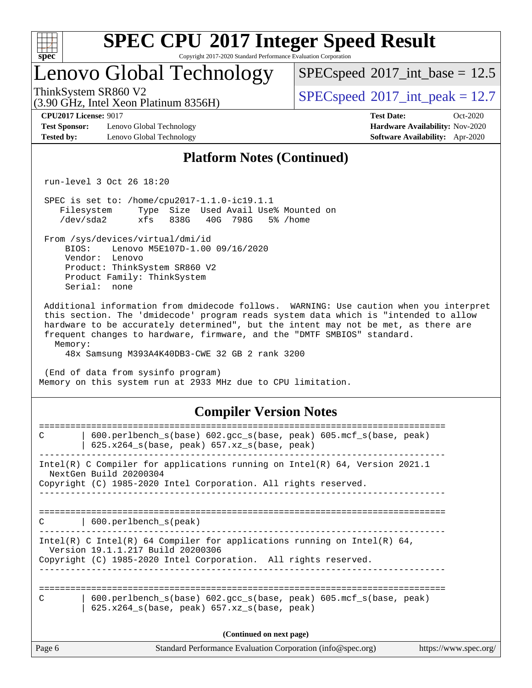

Copyright 2017-2020 Standard Performance Evaluation Corporation

## Lenovo Global Technology

 $SPECspeed^{\circ}2017\_int\_base = 12.5$  $SPECspeed^{\circ}2017\_int\_base = 12.5$ 

(3.90 GHz, Intel Xeon Platinum 8356H)

ThinkSystem SR860 V2  $\begin{array}{|l|l|}\n\hline\n\text{SPEC speed} \textdegree 2017\_int\_peak = 12.7\n\end{array}$ 

**[Test Sponsor:](http://www.spec.org/auto/cpu2017/Docs/result-fields.html#TestSponsor)** Lenovo Global Technology **[Hardware Availability:](http://www.spec.org/auto/cpu2017/Docs/result-fields.html#HardwareAvailability)** Nov-2020 **[Tested by:](http://www.spec.org/auto/cpu2017/Docs/result-fields.html#Testedby)** Lenovo Global Technology **[Software Availability:](http://www.spec.org/auto/cpu2017/Docs/result-fields.html#SoftwareAvailability)** Apr-2020

**[CPU2017 License:](http://www.spec.org/auto/cpu2017/Docs/result-fields.html#CPU2017License)** 9017 **[Test Date:](http://www.spec.org/auto/cpu2017/Docs/result-fields.html#TestDate)** Oct-2020

#### **[Platform Notes \(Continued\)](http://www.spec.org/auto/cpu2017/Docs/result-fields.html#PlatformNotes)**

run-level 3 Oct 26 18:20

 SPEC is set to: /home/cpu2017-1.1.0-ic19.1.1 Filesystem Type Size Used Avail Use% Mounted on /dev/sda2 xfs 838G 40G 798G 5% /home

From /sys/devices/virtual/dmi/id

 BIOS: Lenovo M5E107D-1.00 09/16/2020 Vendor: Lenovo Product: ThinkSystem SR860 V2 Product Family: ThinkSystem Serial: none

 Additional information from dmidecode follows. WARNING: Use caution when you interpret this section. The 'dmidecode' program reads system data which is "intended to allow hardware to be accurately determined", but the intent may not be met, as there are frequent changes to hardware, firmware, and the "DMTF SMBIOS" standard. Memory:

48x Samsung M393A4K40DB3-CWE 32 GB 2 rank 3200

 (End of data from sysinfo program) Memory on this system run at 2933 MHz due to CPU limitation.

#### **[Compiler Version Notes](http://www.spec.org/auto/cpu2017/Docs/result-fields.html#CompilerVersionNotes)**

| $600.$ perlbench $s(base) 602.$ qcc $s(base, peak) 605.$ mcf $s(base, peak)$<br>C<br>$625.x264_s(base, peak)$ 657.xz <sub>_S</sub> (base, peak)                                  |
|----------------------------------------------------------------------------------------------------------------------------------------------------------------------------------|
| Intel(R) C Compiler for applications running on Intel(R) $64$ , Version 2021.1<br>NextGen Build 20200304<br>Copyright (C) 1985-2020 Intel Corporation. All rights reserved.      |
|                                                                                                                                                                                  |
| $\vert$ 600.perlbench s(peak)<br>C                                                                                                                                               |
| Intel(R) C Intel(R) 64 Compiler for applications running on Intel(R) 64,<br>Version 19.1.1.217 Build 20200306<br>Copyright (C) 1985-2020 Intel Corporation. All rights reserved. |
|                                                                                                                                                                                  |
| $600.$ perlbench $s(base) 602.$ qcc $s(base, peak) 605.$ mcf $s(base, peak)$<br>C<br>625.x264_s(base, peak) 657.xz_s(base, peak)                                                 |
| (Continued on next page)                                                                                                                                                         |
|                                                                                                                                                                                  |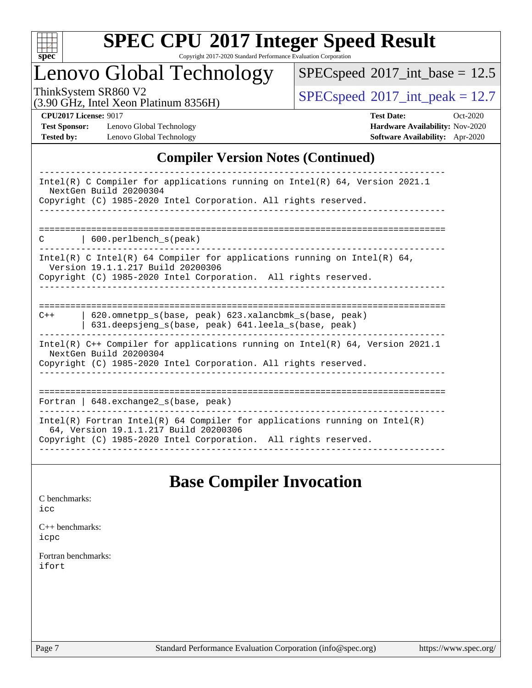

Copyright 2017-2020 Standard Performance Evaluation Corporation

## Lenovo Global Technology

 $SPEC speed$ <sup>®</sup> $2017$ \_int\_base = 12.5

(3.90 GHz, Intel Xeon Platinum 8356H)

ThinkSystem SR860 V2<br>  $\begin{array}{c}\n\text{SPEC speed} \textcircled{2017\_int\_peak} = 12.7 \\
\text{SPEC speed} \textcircled{2017\_int\_peak}\n\end{array}$ 

**[Test Sponsor:](http://www.spec.org/auto/cpu2017/Docs/result-fields.html#TestSponsor)** Lenovo Global Technology **[Hardware Availability:](http://www.spec.org/auto/cpu2017/Docs/result-fields.html#HardwareAvailability)** Nov-2020 **[Tested by:](http://www.spec.org/auto/cpu2017/Docs/result-fields.html#Testedby)** Lenovo Global Technology **[Software Availability:](http://www.spec.org/auto/cpu2017/Docs/result-fields.html#SoftwareAvailability)** Apr-2020

**[CPU2017 License:](http://www.spec.org/auto/cpu2017/Docs/result-fields.html#CPU2017License)** 9017 **[Test Date:](http://www.spec.org/auto/cpu2017/Docs/result-fields.html#TestDate)** Oct-2020

#### **[Compiler Version Notes \(Continued\)](http://www.spec.org/auto/cpu2017/Docs/result-fields.html#CompilerVersionNotes)**

## **[Base Compiler Invocation](http://www.spec.org/auto/cpu2017/Docs/result-fields.html#BaseCompilerInvocation)**

[C benchmarks](http://www.spec.org/auto/cpu2017/Docs/result-fields.html#Cbenchmarks): [icc](http://www.spec.org/cpu2017/results/res2020q4/cpu2017-20201026-24274.flags.html#user_CCbase_intel_icc_66fc1ee009f7361af1fbd72ca7dcefbb700085f36577c54f309893dd4ec40d12360134090235512931783d35fd58c0460139e722d5067c5574d8eaf2b3e37e92)

[C++ benchmarks:](http://www.spec.org/auto/cpu2017/Docs/result-fields.html#CXXbenchmarks) [icpc](http://www.spec.org/cpu2017/results/res2020q4/cpu2017-20201026-24274.flags.html#user_CXXbase_intel_icpc_c510b6838c7f56d33e37e94d029a35b4a7bccf4766a728ee175e80a419847e808290a9b78be685c44ab727ea267ec2f070ec5dc83b407c0218cded6866a35d07)

[Fortran benchmarks](http://www.spec.org/auto/cpu2017/Docs/result-fields.html#Fortranbenchmarks): [ifort](http://www.spec.org/cpu2017/results/res2020q4/cpu2017-20201026-24274.flags.html#user_FCbase_intel_ifort_8111460550e3ca792625aed983ce982f94888b8b503583aa7ba2b8303487b4d8a21a13e7191a45c5fd58ff318f48f9492884d4413fa793fd88dd292cad7027ca)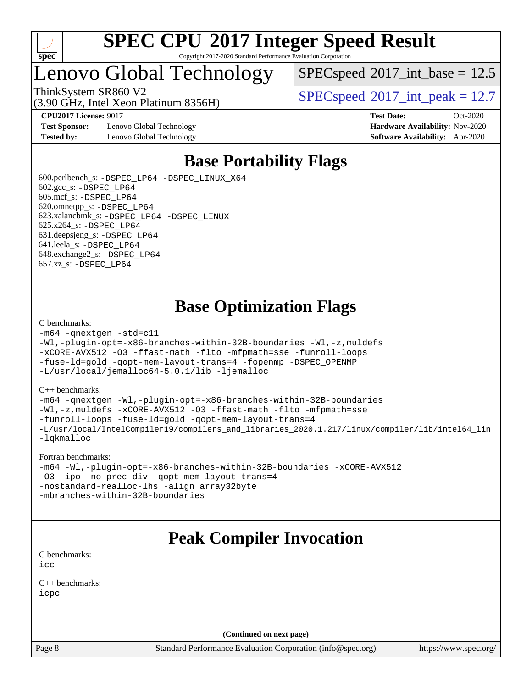

## Lenovo Global Technology

(3.90 GHz, Intel Xeon Platinum 8356H)

 $SPECspeed^{\circ}2017\_int\_base = 12.5$  $SPECspeed^{\circ}2017\_int\_base = 12.5$ 

ThinkSystem SR860 V2  $\begin{array}{|l|l|}\n\hline\n\text{SPEC speed} \textdegree 2017\_int\_peak = 12.7\n\end{array}$ 

**[CPU2017 License:](http://www.spec.org/auto/cpu2017/Docs/result-fields.html#CPU2017License)** 9017 **[Test Date:](http://www.spec.org/auto/cpu2017/Docs/result-fields.html#TestDate)** Oct-2020

**[Test Sponsor:](http://www.spec.org/auto/cpu2017/Docs/result-fields.html#TestSponsor)** Lenovo Global Technology **[Hardware Availability:](http://www.spec.org/auto/cpu2017/Docs/result-fields.html#HardwareAvailability)** Nov-2020 **[Tested by:](http://www.spec.org/auto/cpu2017/Docs/result-fields.html#Testedby)** Lenovo Global Technology **[Software Availability:](http://www.spec.org/auto/cpu2017/Docs/result-fields.html#SoftwareAvailability)** Apr-2020

## **[Base Portability Flags](http://www.spec.org/auto/cpu2017/Docs/result-fields.html#BasePortabilityFlags)**

 600.perlbench\_s: [-DSPEC\\_LP64](http://www.spec.org/cpu2017/results/res2020q4/cpu2017-20201026-24274.flags.html#b600.perlbench_s_basePORTABILITY_DSPEC_LP64) [-DSPEC\\_LINUX\\_X64](http://www.spec.org/cpu2017/results/res2020q4/cpu2017-20201026-24274.flags.html#b600.perlbench_s_baseCPORTABILITY_DSPEC_LINUX_X64)  $602.\text{gcc}\$ s:  $-DSPEC$  LP64 605.mcf\_s: [-DSPEC\\_LP64](http://www.spec.org/cpu2017/results/res2020q4/cpu2017-20201026-24274.flags.html#suite_basePORTABILITY605_mcf_s_DSPEC_LP64) 620.omnetpp\_s: [-DSPEC\\_LP64](http://www.spec.org/cpu2017/results/res2020q4/cpu2017-20201026-24274.flags.html#suite_basePORTABILITY620_omnetpp_s_DSPEC_LP64) 623.xalancbmk\_s: [-DSPEC\\_LP64](http://www.spec.org/cpu2017/results/res2020q4/cpu2017-20201026-24274.flags.html#suite_basePORTABILITY623_xalancbmk_s_DSPEC_LP64) [-DSPEC\\_LINUX](http://www.spec.org/cpu2017/results/res2020q4/cpu2017-20201026-24274.flags.html#b623.xalancbmk_s_baseCXXPORTABILITY_DSPEC_LINUX) 625.x264\_s: [-DSPEC\\_LP64](http://www.spec.org/cpu2017/results/res2020q4/cpu2017-20201026-24274.flags.html#suite_basePORTABILITY625_x264_s_DSPEC_LP64) 631.deepsjeng\_s: [-DSPEC\\_LP64](http://www.spec.org/cpu2017/results/res2020q4/cpu2017-20201026-24274.flags.html#suite_basePORTABILITY631_deepsjeng_s_DSPEC_LP64) 641.leela\_s: [-DSPEC\\_LP64](http://www.spec.org/cpu2017/results/res2020q4/cpu2017-20201026-24274.flags.html#suite_basePORTABILITY641_leela_s_DSPEC_LP64) 648.exchange2\_s: [-DSPEC\\_LP64](http://www.spec.org/cpu2017/results/res2020q4/cpu2017-20201026-24274.flags.html#suite_basePORTABILITY648_exchange2_s_DSPEC_LP64) 657.xz\_s: [-DSPEC\\_LP64](http://www.spec.org/cpu2017/results/res2020q4/cpu2017-20201026-24274.flags.html#suite_basePORTABILITY657_xz_s_DSPEC_LP64)

## **[Base Optimization Flags](http://www.spec.org/auto/cpu2017/Docs/result-fields.html#BaseOptimizationFlags)**

#### [C benchmarks](http://www.spec.org/auto/cpu2017/Docs/result-fields.html#Cbenchmarks):

```
-m64 -qnextgen -std=c11
-Wl,-plugin-opt=-x86-branches-within-32B-boundaries -Wl,-z,muldefs
-xCORE-AVX512 -O3 -ffast-math -flto -mfpmath=sse -funroll-loops
-fuse-ld=gold -qopt-mem-layout-trans=4 -fopenmp -DSPEC_OPENMP
-L/usr/local/jemalloc64-5.0.1/lib -ljemalloc
```
#### [C++ benchmarks:](http://www.spec.org/auto/cpu2017/Docs/result-fields.html#CXXbenchmarks)

```
-m64 -qnextgen -Wl,-plugin-opt=-x86-branches-within-32B-boundaries
-Wl,-z,muldefs -xCORE-AVX512 -O3 -ffast-math -flto -mfpmath=sse
-funroll-loops -fuse-ld=gold -qopt-mem-layout-trans=4
-L/usr/local/IntelCompiler19/compilers_and_libraries_2020.1.217/linux/compiler/lib/intel64_lin
-lqkmalloc
```
#### [Fortran benchmarks:](http://www.spec.org/auto/cpu2017/Docs/result-fields.html#Fortranbenchmarks)

```
-m64 -Wl,-plugin-opt=-x86-branches-within-32B-boundaries -xCORE-AVX512
-O3 -ipo -no-prec-div -qopt-mem-layout-trans=4
-nostandard-realloc-lhs -align array32byte
-mbranches-within-32B-boundaries
```
## **[Peak Compiler Invocation](http://www.spec.org/auto/cpu2017/Docs/result-fields.html#PeakCompilerInvocation)**

[C benchmarks](http://www.spec.org/auto/cpu2017/Docs/result-fields.html#Cbenchmarks): [icc](http://www.spec.org/cpu2017/results/res2020q4/cpu2017-20201026-24274.flags.html#user_CCpeak_intel_icc_66fc1ee009f7361af1fbd72ca7dcefbb700085f36577c54f309893dd4ec40d12360134090235512931783d35fd58c0460139e722d5067c5574d8eaf2b3e37e92)

[C++ benchmarks:](http://www.spec.org/auto/cpu2017/Docs/result-fields.html#CXXbenchmarks) [icpc](http://www.spec.org/cpu2017/results/res2020q4/cpu2017-20201026-24274.flags.html#user_CXXpeak_intel_icpc_c510b6838c7f56d33e37e94d029a35b4a7bccf4766a728ee175e80a419847e808290a9b78be685c44ab727ea267ec2f070ec5dc83b407c0218cded6866a35d07)

**(Continued on next page)**

Page 8 Standard Performance Evaluation Corporation [\(info@spec.org\)](mailto:info@spec.org) <https://www.spec.org/>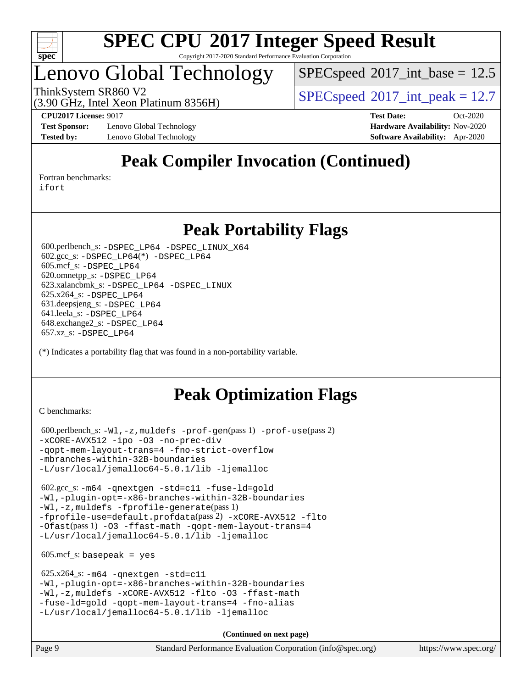

## Lenovo Global Technology

 $SPECspeed^{\circ}2017\_int\_base = 12.5$  $SPECspeed^{\circ}2017\_int\_base = 12.5$ 

(3.90 GHz, Intel Xeon Platinum 8356H)

ThinkSystem SR860 V2  $\begin{array}{|l|l|}\n\hline\n\text{SPEC speed} \textdegree 2017\_int\_peak = 12.7\n\end{array}$ 

**[Test Sponsor:](http://www.spec.org/auto/cpu2017/Docs/result-fields.html#TestSponsor)** Lenovo Global Technology **[Hardware Availability:](http://www.spec.org/auto/cpu2017/Docs/result-fields.html#HardwareAvailability)** Nov-2020 **[Tested by:](http://www.spec.org/auto/cpu2017/Docs/result-fields.html#Testedby)** Lenovo Global Technology **[Software Availability:](http://www.spec.org/auto/cpu2017/Docs/result-fields.html#SoftwareAvailability)** Apr-2020

**[CPU2017 License:](http://www.spec.org/auto/cpu2017/Docs/result-fields.html#CPU2017License)** 9017 **[Test Date:](http://www.spec.org/auto/cpu2017/Docs/result-fields.html#TestDate)** Oct-2020

## **[Peak Compiler Invocation \(Continued\)](http://www.spec.org/auto/cpu2017/Docs/result-fields.html#PeakCompilerInvocation)**

[Fortran benchmarks](http://www.spec.org/auto/cpu2017/Docs/result-fields.html#Fortranbenchmarks):

[ifort](http://www.spec.org/cpu2017/results/res2020q4/cpu2017-20201026-24274.flags.html#user_FCpeak_intel_ifort_8111460550e3ca792625aed983ce982f94888b8b503583aa7ba2b8303487b4d8a21a13e7191a45c5fd58ff318f48f9492884d4413fa793fd88dd292cad7027ca)

## **[Peak Portability Flags](http://www.spec.org/auto/cpu2017/Docs/result-fields.html#PeakPortabilityFlags)**

 600.perlbench\_s: [-DSPEC\\_LP64](http://www.spec.org/cpu2017/results/res2020q4/cpu2017-20201026-24274.flags.html#b600.perlbench_s_peakPORTABILITY_DSPEC_LP64) [-DSPEC\\_LINUX\\_X64](http://www.spec.org/cpu2017/results/res2020q4/cpu2017-20201026-24274.flags.html#b600.perlbench_s_peakCPORTABILITY_DSPEC_LINUX_X64) 602.gcc\_s: [-DSPEC\\_LP64](http://www.spec.org/cpu2017/results/res2020q4/cpu2017-20201026-24274.flags.html#suite_peakCCLD602_gcc_s_DSPEC_LP64)(\*) [-DSPEC\\_LP64](http://www.spec.org/cpu2017/results/res2020q4/cpu2017-20201026-24274.flags.html#suite_peakPORTABILITY602_gcc_s_DSPEC_LP64) 605.mcf\_s: [-DSPEC\\_LP64](http://www.spec.org/cpu2017/results/res2020q4/cpu2017-20201026-24274.flags.html#suite_peakPORTABILITY605_mcf_s_DSPEC_LP64) 620.omnetpp\_s: [-DSPEC\\_LP64](http://www.spec.org/cpu2017/results/res2020q4/cpu2017-20201026-24274.flags.html#suite_peakPORTABILITY620_omnetpp_s_DSPEC_LP64) 623.xalancbmk\_s: [-DSPEC\\_LP64](http://www.spec.org/cpu2017/results/res2020q4/cpu2017-20201026-24274.flags.html#suite_peakPORTABILITY623_xalancbmk_s_DSPEC_LP64) [-DSPEC\\_LINUX](http://www.spec.org/cpu2017/results/res2020q4/cpu2017-20201026-24274.flags.html#b623.xalancbmk_s_peakCXXPORTABILITY_DSPEC_LINUX) 625.x264\_s: [-DSPEC\\_LP64](http://www.spec.org/cpu2017/results/res2020q4/cpu2017-20201026-24274.flags.html#suite_peakPORTABILITY625_x264_s_DSPEC_LP64) 631.deepsjeng\_s: [-DSPEC\\_LP64](http://www.spec.org/cpu2017/results/res2020q4/cpu2017-20201026-24274.flags.html#suite_peakPORTABILITY631_deepsjeng_s_DSPEC_LP64) 641.leela\_s: [-DSPEC\\_LP64](http://www.spec.org/cpu2017/results/res2020q4/cpu2017-20201026-24274.flags.html#suite_peakPORTABILITY641_leela_s_DSPEC_LP64) 648.exchange2\_s: [-DSPEC\\_LP64](http://www.spec.org/cpu2017/results/res2020q4/cpu2017-20201026-24274.flags.html#suite_peakPORTABILITY648_exchange2_s_DSPEC_LP64) 657.xz\_s: [-DSPEC\\_LP64](http://www.spec.org/cpu2017/results/res2020q4/cpu2017-20201026-24274.flags.html#suite_peakPORTABILITY657_xz_s_DSPEC_LP64)

(\*) Indicates a portability flag that was found in a non-portability variable.

## **[Peak Optimization Flags](http://www.spec.org/auto/cpu2017/Docs/result-fields.html#PeakOptimizationFlags)**

[C benchmarks](http://www.spec.org/auto/cpu2017/Docs/result-fields.html#Cbenchmarks):

```
 600.perlbench_s: -Wl,-z,muldefs -prof-gen(pass 1) -prof-use(pass 2)
-xCORE-AVX512 -ipo -O3 -no-prec-div
-qopt-mem-layout-trans=4 -fno-strict-overflow
-mbranches-within-32B-boundaries
-L/usr/local/jemalloc64-5.0.1/lib -ljemalloc
```
 602.gcc\_s: [-m64](http://www.spec.org/cpu2017/results/res2020q4/cpu2017-20201026-24274.flags.html#user_peakCCLD602_gcc_s_m64-icc) [-qnextgen](http://www.spec.org/cpu2017/results/res2020q4/cpu2017-20201026-24274.flags.html#user_peakCCLD602_gcc_s_f-qnextgen) [-std=c11](http://www.spec.org/cpu2017/results/res2020q4/cpu2017-20201026-24274.flags.html#user_peakCCLD602_gcc_s_std-icc-std_0e1c27790398a4642dfca32ffe6c27b5796f9c2d2676156f2e42c9c44eaad0c049b1cdb667a270c34d979996257aeb8fc440bfb01818dbc9357bd9d174cb8524) [-fuse-ld=gold](http://www.spec.org/cpu2017/results/res2020q4/cpu2017-20201026-24274.flags.html#user_peakCCLD602_gcc_s_f-fuse-ld_920b3586e2b8c6e0748b9c84fa9b744736ba725a32cab14ad8f3d4ad28eecb2f59d1144823d2e17006539a88734fe1fc08fc3035f7676166309105a78aaabc32) [-Wl,-plugin-opt=-x86-branches-within-32B-boundaries](http://www.spec.org/cpu2017/results/res2020q4/cpu2017-20201026-24274.flags.html#user_peakLDFLAGS602_gcc_s_f-x86-branches-within-32B-boundaries_0098b4e4317ae60947b7b728078a624952a08ac37a3c797dfb4ffeb399e0c61a9dd0f2f44ce917e9361fb9076ccb15e7824594512dd315205382d84209e912f3) [-Wl,-z,muldefs](http://www.spec.org/cpu2017/results/res2020q4/cpu2017-20201026-24274.flags.html#user_peakEXTRA_LDFLAGS602_gcc_s_link_force_multiple1_b4cbdb97b34bdee9ceefcfe54f4c8ea74255f0b02a4b23e853cdb0e18eb4525ac79b5a88067c842dd0ee6996c24547a27a4b99331201badda8798ef8a743f577) [-fprofile-generate](http://www.spec.org/cpu2017/results/res2020q4/cpu2017-20201026-24274.flags.html#user_peakPASS1_CFLAGSPASS1_LDFLAGS602_gcc_s_fprofile-generate)(pass 1) [-fprofile-use=default.profdata](http://www.spec.org/cpu2017/results/res2020q4/cpu2017-20201026-24274.flags.html#user_peakPASS2_CFLAGSPASS2_LDFLAGS602_gcc_s_fprofile-use_56aeee182b92ec249f9670f17c9b8e7d83fe2d25538e35a2cf64c434b579a2235a8b8fc66ef5678d24461366bbab9d486c870d8a72905233fc08e43eefe3cd80)(pass 2) [-xCORE-AVX512](http://www.spec.org/cpu2017/results/res2020q4/cpu2017-20201026-24274.flags.html#user_peakCOPTIMIZEPASS1_CFLAGSPASS1_LDFLAGS602_gcc_s_f-xCORE-AVX512) [-flto](http://www.spec.org/cpu2017/results/res2020q4/cpu2017-20201026-24274.flags.html#user_peakCOPTIMIZEPASS1_CFLAGSPASS1_LDFLAGS602_gcc_s_f-flto) [-Ofast](http://www.spec.org/cpu2017/results/res2020q4/cpu2017-20201026-24274.flags.html#user_peakPASS1_CFLAGSPASS1_LDFLAGS602_gcc_s_f-Ofast)(pass 1) [-O3](http://www.spec.org/cpu2017/results/res2020q4/cpu2017-20201026-24274.flags.html#user_peakCOPTIMIZE602_gcc_s_f-O3) [-ffast-math](http://www.spec.org/cpu2017/results/res2020q4/cpu2017-20201026-24274.flags.html#user_peakCOPTIMIZE602_gcc_s_f-ffast-math) [-qopt-mem-layout-trans=4](http://www.spec.org/cpu2017/results/res2020q4/cpu2017-20201026-24274.flags.html#user_peakCOPTIMIZE602_gcc_s_f-qopt-mem-layout-trans_fa39e755916c150a61361b7846f310bcdf6f04e385ef281cadf3647acec3f0ae266d1a1d22d972a7087a248fd4e6ca390a3634700869573d231a252c784941a8) [-L/usr/local/jemalloc64-5.0.1/lib](http://www.spec.org/cpu2017/results/res2020q4/cpu2017-20201026-24274.flags.html#user_peakEXTRA_LIBS602_gcc_s_jemalloc_link_path64_1_cc289568b1a6c0fd3b62c91b824c27fcb5af5e8098e6ad028160d21144ef1b8aef3170d2acf0bee98a8da324cfe4f67d0a3d0c4cc4673d993d694dc2a0df248b) [-ljemalloc](http://www.spec.org/cpu2017/results/res2020q4/cpu2017-20201026-24274.flags.html#user_peakEXTRA_LIBS602_gcc_s_jemalloc_link_lib_d1249b907c500fa1c0672f44f562e3d0f79738ae9e3c4a9c376d49f265a04b9c99b167ecedbf6711b3085be911c67ff61f150a17b3472be731631ba4d0471706)

 $605.\text{mcf}\text{ s}:$  basepeak = yes

```
 625.x264_s: -m64 -qnextgen -std=c11
-Wl,-plugin-opt=-x86-branches-within-32B-boundaries
-Wl,-z,muldefs -xCORE-AVX512 -flto -O3 -ffast-math
-fuse-ld=gold -qopt-mem-layout-trans=4 -fno-alias
-L/usr/local/jemalloc64-5.0.1/lib -ljemalloc
```
**(Continued on next page)**

Page 9 Standard Performance Evaluation Corporation [\(info@spec.org\)](mailto:info@spec.org) <https://www.spec.org/>